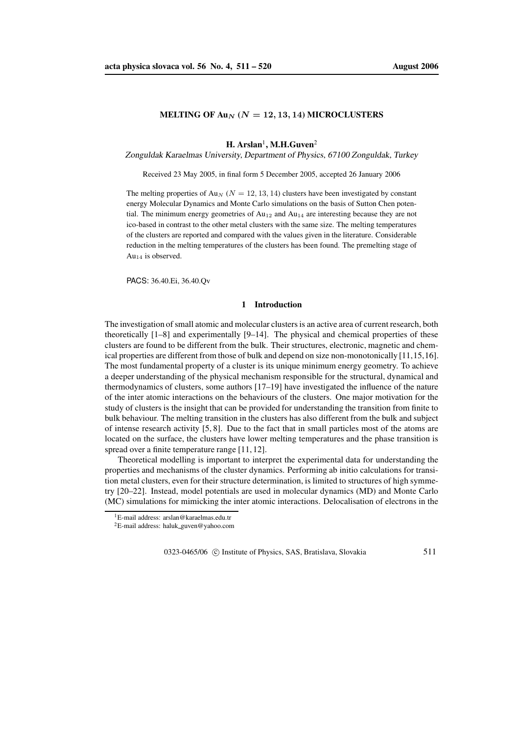## **MELTING OF**  $\text{Au}_N$  **(** $N = 12, 13, 14$ **) <b>MICROCLUSTERS**

# $\mathbf{H}$ . Arslan<sup>1</sup>, M.H.Guven<sup>2</sup>

Zonguldak Karaelmas University, Department of Physics, 67100 Zonguldak, Turkey

Received 23 May 2005, in final form 5 December 2005, accepted 26 January 2006

The melting properties of Au<sub>N</sub> ( $N = 12, 13, 14$ ) clusters have been investigated by constant energy Molecular Dynamics and Monte Carlo simulations on the basis of Sutton Chen potential. The minimum energy geometries of  $Au_{12}$  and  $Au_{14}$  are interesting because they are not ico-based in contrast to the other metal clusters with the same size. The melting temperatures of the clusters are reported and compared with the values given in the literature. Considerable reduction in the melting temperatures of the clusters has been found. The premelting stage of Au<sub>14</sub> is observed.

PACS: 36.40.Ei, 36.40.Qv

## **1 Introduction**

The investigation of small atomic and molecular clusters is an active area of current research, both theoretically [1–8] and experimentally [9–14]. The physical and chemical properties of these clusters are found to be different from the bulk. Their structures, electronic, magnetic and chemical properties are different from those of bulk and depend on size non-monotonically [11,15,16]. The most fundamental property of a cluster is its unique minimum energy geometry. To achieve a deeper understanding of the physical mechanism responsible for the structural, dynamical and thermodynamics of clusters, some authors [17–19] have investigated the influence of the nature of the inter atomic interactions on the behaviours of the clusters. One major motivation for the study of clusters is the insight that can be provided for understanding the transition from finite to bulk behaviour. The melting transition in the clusters has also different from the bulk and subject of intense research activity [5, 8]. Due to the fact that in small particles most of the atoms are located on the surface, the clusters have lower melting temperatures and the phase transition is spread over a finite temperature range [11, 12].

Theoretical modelling is important to interpret the experimental data for understanding the properties and mechanisms of the cluster dynamics. Performing ab initio calculations for transition metal clusters, even for their structure determination, is limited to structures of high symmetry [20–22]. Instead, model potentials are used in molecular dynamics (MD) and Monte Carlo (MC) simulations for mimicking the inter atomic interactions. Delocalisation of electrons in the

0323-0465/06 C Institute of Physics, SAS, Bratislava, Slovakia 511

<sup>1</sup>E-mail address: arslan@karaelmas.edu.tr

<sup>2</sup>E-mail address: haluk guven@yahoo.com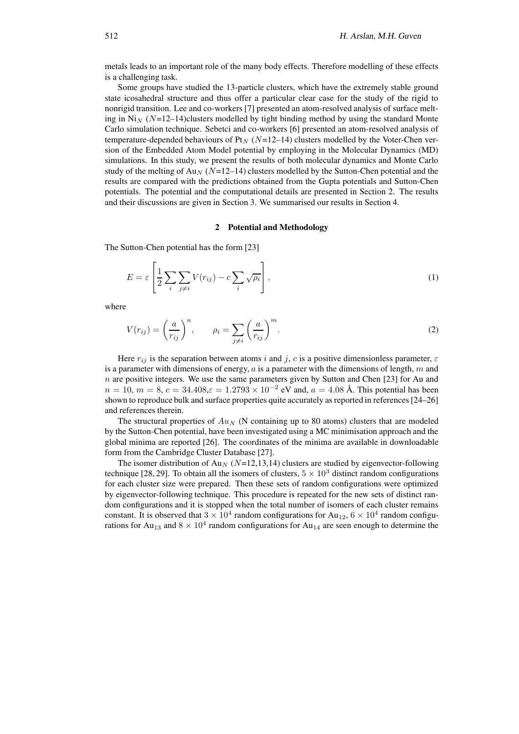metals leads to an important role of the many body effects. Therefore modelling of these effects is a challenging task.

Some groups have studied the 13-particle clusters, which have the extremely stable ground state icosahedral structure and thus offer a particular clear case for the study of the rigid to nonrigid transition. Lee and co-workers [7] presented an atom-resolved analysis of surface melting in  $N_{N}$  ( $N=12-14$ )clusters modelled by tight binding method by using the standard Monte Carlo simulation technique. Sebetci and co-workers [6] presented an atom-resolved analysis of temperature-depended behaviours of Pt<sub>N</sub> ( $N=12-14$ ) clusters modelled by the Voter-Chen version of the Embedded Atom Model potential by employing in the Molecular Dynamics (MD) simulations. In this study, we present the results of both molecular dynamics and Monte Carlo study of the melting of Au<sub>N</sub> (N=12–14) clusters modelled by the Sutton-Chen potential and the results are compared with the predictions obtained from the Gupta potentials and Sutton-Chen potentials. The potential and the computational details are presented in Section 2. The results and their discussions are given in Section 3. We summarised our results in Section 4.

### **2 Potential and Methodology**

The Sutton-Chen potential has the form [23]

$$
E = \varepsilon \left[ \frac{1}{2} \sum_{i} \sum_{j \neq i} V(r_{ij}) - c \sum_{i} \sqrt{\rho_i} \right],
$$
 (1)

where

$$
V(r_{ij}) = \left(\frac{a}{r_{ij}}\right)^n, \qquad \rho_i = \sum_{j \neq i} \left(\frac{a}{r_{ij}}\right)^m.
$$
 (2)

Here  $r_{ij}$  is the separation between atoms i and j, c is a positive dimensionless parameter,  $\varepsilon$ is a parameter with dimensions of energy,  $a$  is a parameter with the dimensions of length,  $m$  and  $n$  are positive integers. We use the same parameters given by Sutton and Chen [23] for Au and  $n = 10, m = 8, c = 34.408, \varepsilon = 1.2793 \times 10^{-2}$  eV and,  $a = 4.08$  Å. This potential has been shown to reproduce bulk and surface properties quite accurately as reported in references[24–26] and references therein.

The structural properties of  $Au_N$  (N containing up to 80 atoms) clusters that are modeled by the Sutton-Chen potential, have been investigated using a MC minimisation approach and the global minima are reported [26]. The coordinates of the minima are available in downloadable form from the Cambridge Cluster Database [27].

The isomer distribution of Au<sub>N</sub> ( $N=12,13,14$ ) clusters are studied by eigenvector-following technique [28, 29]. To obtain all the isomers of clusters,  $5 \times 10^3$  distinct random configurations for each cluster size were prepared. Then these sets of random configurations were optimized by eigenvector-following technique. This procedure is repeated for the new sets of distinct random configurations and it is stopped when the total number of isomers of each cluster remains constant. It is observed that  $3 \times 10^4$  random configurations for Au<sub>12</sub>,  $6 \times 10^4$  random configurations for Au<sub>13</sub> and  $8 \times 10^4$  random configurations for Au<sub>14</sub> are seen enough to determine the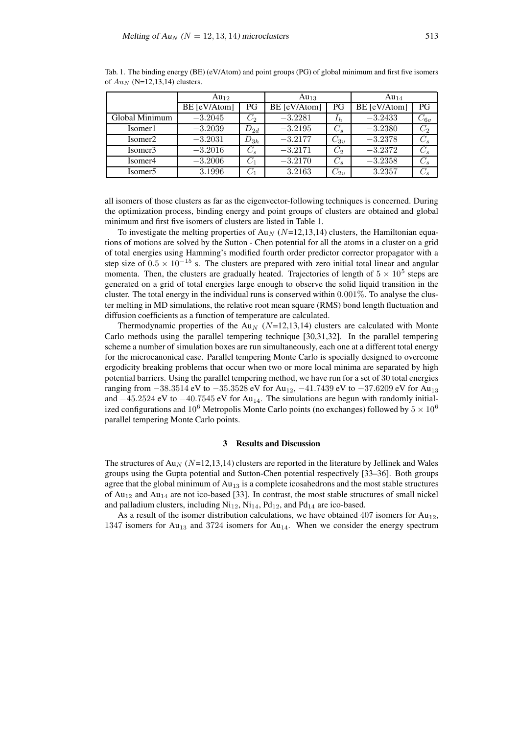|                     | $Au_{12}$    |          | $Au_{13}$    |          | $Au_{14}$    |          |
|---------------------|--------------|----------|--------------|----------|--------------|----------|
|                     | BE [eV/Atom] | PG       | BE [eV/Atom] | PG       | BE [eV/Atom] | PG       |
| Global Minimum      | $-3.2045$    | $C_2$    | $-3.2281$    | $I_h$    | $-3.2433$    | $C_{6v}$ |
| Isomer1             | $-3.2039$    | $D_{2d}$ | $-3.2195$    | $C_{s}$  | $-3.2380$    | $C_{2}$  |
| Isomer <sub>2</sub> | $-3.2031$    | $D_{3h}$ | $-3.2177$    | $C_{3v}$ | $-3.2378$    | $C_{s}$  |
| Isomer3             | $-3.2016$    | $C_s$    | $-3.2171$    | $C_2$    | $-3.2372$    | $C_s$    |
| Isomer4             | $-3.2006$    | $C_{1}$  | $-3.2170$    | $C_s$    | $-3.2358$    | $C_s$    |
| Isomer5             | $-3.1996$    | $C_1$    | $-3.2163$    | $C_{2v}$ | $-3.2357$    | $C_{s}$  |

Tab. 1. The binding energy (BE) (eV/Atom) and point groups (PG) of global minimum and first five isomers of  $Au_N$  (N=12,13,14) clusters.

all isomers of those clusters as far as the eigenvector-following techniques is concerned. During the optimization process, binding energy and point groups of clusters are obtained and global minimum and first five isomers of clusters are listed in Table 1.

To investigate the melting properties of  $Au_N$  (N=12,13,14) clusters, the Hamiltonian equations of motions are solved by the Sutton - Chen potential for all the atoms in a cluster on a grid of total energies using Hamming's modified fourth order predictor corrector propagator with a step size of  $0.5 \times 10^{-15}$  s. The clusters are prepared with zero initial total linear and angular momenta. Then, the clusters are gradually heated. Trajectories of length of  $5 \times 10^5$  steps are generated on a grid of total energies large enough to observe the solid liquid transition in the cluster. The total energy in the individual runs is conserved within 0.001%. To analyse the cluster melting in MD simulations, the relative root mean square (RMS) bond length fluctuation and diffusion coefficients as a function of temperature are calculated.

Thermodynamic properties of the Au<sub>N</sub> ( $N=12,13,14$ ) clusters are calculated with Monte Carlo methods using the parallel tempering technique [30,31,32]. In the parallel tempering scheme a number of simulation boxes are run simultaneously, each one at a different total energy for the microcanonical case. Parallel tempering Monte Carlo is specially designed to overcome ergodicity breaking problems that occur when two or more local minima are separated by high potential barriers. Using the parallel tempering method, we have run for a set of 30 total energies ranging from  $-38.3514$  eV to  $-35.3528$  eV for Au<sub>12</sub>,  $-41.7439$  eV to  $-37.6209$  eV for Au<sub>13</sub> and  $-45.2524$  eV to  $-40.7545$  eV for Au<sub>14</sub>. The simulations are begun with randomly initialized configurations and  $10^6$  Metropolis Monte Carlo points (no exchanges) followed by  $5 \times 10^6$ parallel tempering Monte Carlo points.

# **3 Results and Discussion**

The structures of Au<sub>N</sub> ( $N=12,13,14$ ) clusters are reported in the literature by Jellinek and Wales groups using the Gupta potential and Sutton-Chen potential respectively [33–36]. Both groups agree that the global minimum of  $Au_{13}$  is a complete icosahedrons and the most stable structures of  $Au_{12}$  and  $Au_{14}$  are not ico-based [33]. In contrast, the most stable structures of small nickel and palladium clusters, including  $Ni<sub>12</sub>$ ,  $Ni<sub>14</sub>$ ,  $Pd<sub>12</sub>$ , and  $Pd<sub>14</sub>$  are ico-based.

As a result of the isomer distribution calculations, we have obtained  $407$  isomers for  $Au_{12}$ , 1347 isomers for  $Au_{13}$  and 3724 isomers for  $Au_{14}$ . When we consider the energy spectrum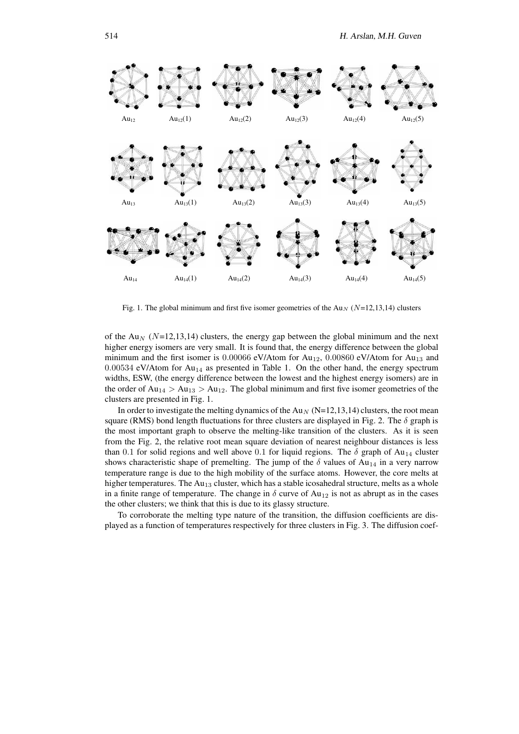

Fig. 1. The global minimum and first five isomer geometries of the Au<sub>N</sub> ( $N=12,13,14$ ) clusters

of the Au<sub>N</sub> ( $N=12,13,14$ ) clusters, the energy gap between the global minimum and the next higher energy isomers are very small. It is found that, the energy difference between the global minimum and the first isomer is  $0.00066$  eV/Atom for Au<sub>12</sub>,  $0.00860$  eV/Atom for Au<sub>13</sub> and  $0.00534$  eV/Atom for Au<sub>14</sub> as presented in Table 1. On the other hand, the energy spectrum widths, ESW, (the energy difference between the lowest and the highest energy isomers) are in the order of  $Au_{14} > Au_{13} > Au_{12}$ . The global minimum and first five isomer geometries of the clusters are presented in Fig. 1.

In order to investigate the melting dynamics of the Au<sub>N</sub> (N=12,13,14) clusters, the root mean square (RMS) bond length fluctuations for three clusters are displayed in Fig. 2. The  $\delta$  graph is the most important graph to observe the melting-like transition of the clusters. As it is seen from the Fig. 2, the relative root mean square deviation of nearest neighbour distances is less than 0.1 for solid regions and well above 0.1 for liquid regions. The  $\delta$  graph of Au<sub>14</sub> cluster shows characteristic shape of premelting. The jump of the  $\delta$  values of Au<sub>14</sub> in a very narrow temperature range is due to the high mobility of the surface atoms. However, the core melts at higher temperatures. The  $Au_{13}$  cluster, which has a stable icosahedral structure, melts as a whole in a finite range of temperature. The change in  $\delta$  curve of Au<sub>12</sub> is not as abrupt as in the cases the other clusters; we think that this is due to its glassy structure.

To corroborate the melting type nature of the transition, the diffusion coefficients are displayed as a function of temperatures respectively for three clusters in Fig. 3. The diffusion coef-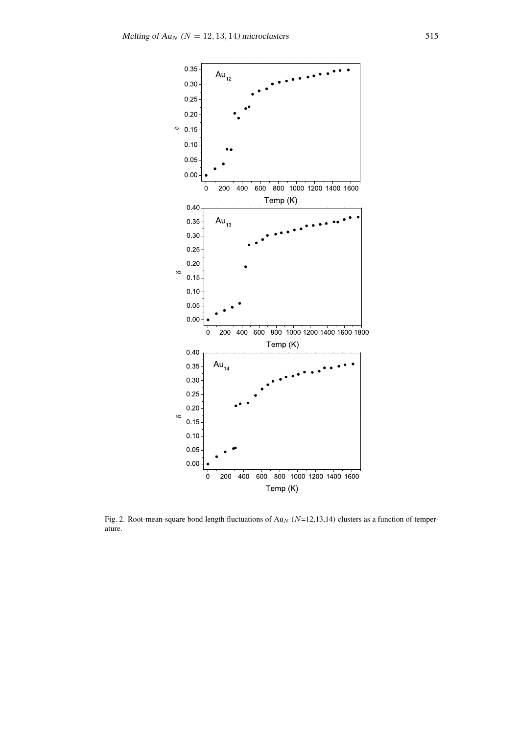

Fig. 2. Root-mean-square bond length fluctuations of Au<sub>N</sub> ( $N=12,13,14$ ) clusters as a function of temperature.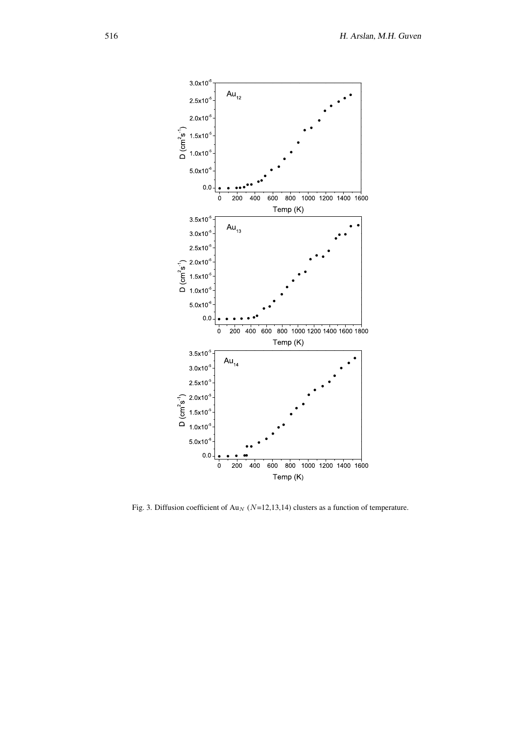

Fig. 3. Diffusion coefficient of Au<sub>N</sub> ( $N=12,13,14$ ) clusters as a function of temperature.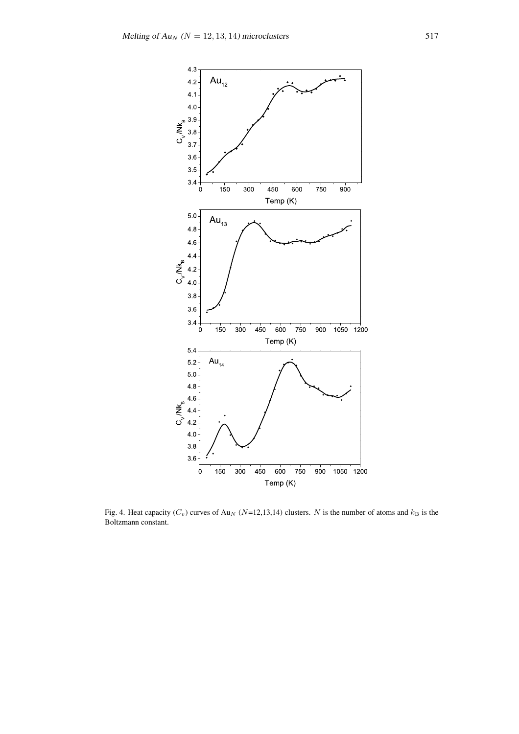

Fig. 4. Heat capacity  $(C_v)$  curves of Au<sub>N</sub> (N=12,13,14) clusters. N is the number of atoms and  $k_B$  is the Boltzmann constant.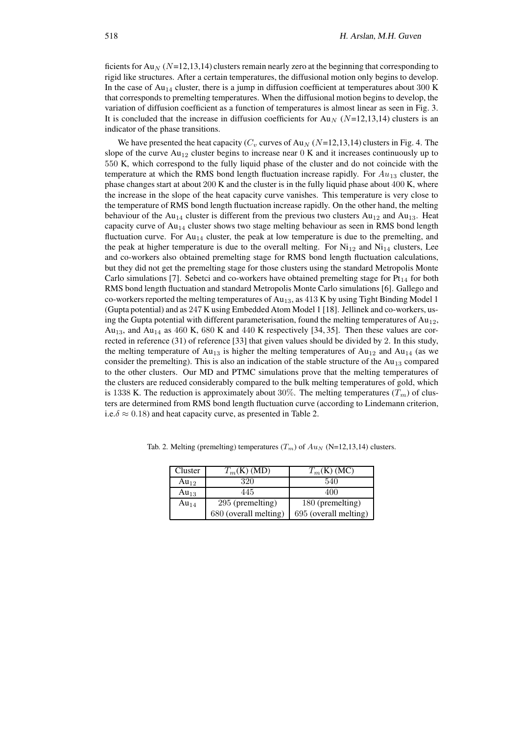ficients for Au<sub>N</sub> ( $N=12,13,14$ ) clusters remain nearly zero at the beginning that corresponding to rigid like structures. After a certain temperatures, the diffusional motion only begins to develop. In the case of  $Au_{14}$  cluster, there is a jump in diffusion coefficient at temperatures about 300 K that corresponds to premelting temperatures. When the diffusional motion begins to develop, the variation of diffusion coefficient as a function of temperatures is almost linear as seen in Fig. 3. It is concluded that the increase in diffusion coefficients for Au<sub>N</sub> ( $N=12,13,14$ ) clusters is an indicator of the phase transitions.

We have presented the heat capacity ( $C_v$  curves of Au<sub>N</sub> (N=12,13,14) clusters in Fig. 4. The slope of the curve  $Au_{12}$  cluster begins to increase near 0 K and it increases continuously up to 550 K, which correspond to the fully liquid phase of the cluster and do not coincide with the temperature at which the RMS bond length fluctuation increase rapidly. For  $Au_{13}$  cluster, the phase changes start at about 200 K and the cluster is in the fully liquid phase about 400 K, where the increase in the slope of the heat capacity curve vanishes. This temperature is very close to the temperature of RMS bond length fluctuation increase rapidly. On the other hand, the melting behaviour of the Au<sub>14</sub> cluster is different from the previous two clusters Au<sub>12</sub> and Au<sub>13</sub>. Heat capacity curve of Au<sub>14</sub> cluster shows two stage melting behaviour as seen in RMS bond length fluctuation curve. For  $Au_{14}$  cluster, the peak at low temperature is due to the premelting, and the peak at higher temperature is due to the overall melting. For  $Ni_{12}$  and  $Ni_{14}$  clusters, Lee and co-workers also obtained premelting stage for RMS bond length fluctuation calculations, but they did not get the premelting stage for those clusters using the standard Metropolis Monte Carlo simulations [7]. Sebetci and co-workers have obtained premelting stage for  $Pt_{14}$  for both RMS bond length fluctuation and standard Metropolis Monte Carlo simulations [6]. Gallego and co-workers reported the melting temperatures of Au<sub>13</sub>, as 413 K by using Tight Binding Model 1 (Gupta potential) and as 247 K using Embedded Atom Model 1 [18]. Jellinek and co-workers, using the Gupta potential with different parameterisation, found the melting temperatures of  $Au_{12}$ , Au<sub>13</sub>, and Au<sub>14</sub> as 460 K, 680 K and 440 K respectively [34, 35]. Then these values are corrected in reference (31) of reference [33] that given values should be divided by 2. In this study, the melting temperature of  $Au_{13}$  is higher the melting temperatures of  $Au_{12}$  and  $Au_{14}$  (as we consider the premelting). This is also an indication of the stable structure of the  $Au_{13}$  compared to the other clusters. Our MD and PTMC simulations prove that the melting temperatures of the clusters are reduced considerably compared to the bulk melting temperatures of gold, which is 1338 K. The reduction is approximately about 30%. The melting temperatures  $(T_m)$  of clusters are determined from RMS bond length fluctuation curve (according to Lindemann criterion, i.e. $\delta \approx 0.18$ ) and heat capacity curve, as presented in Table 2.

| Cluster   | $T_m(\text{K})$ (MD)  | $T_m(K)$ (MC)         |
|-----------|-----------------------|-----------------------|
| $Au_{12}$ | 320                   | 540                   |
| $Au_{13}$ | 445                   | 400                   |
| $Au_{14}$ | 295 (premelting)      | 180 (premelting)      |
|           | 680 (overall melting) | 695 (overall melting) |

Tab. 2. Melting (premelting) temperatures  $(T_m)$  of  $Au_N$  (N=12,13,14) clusters.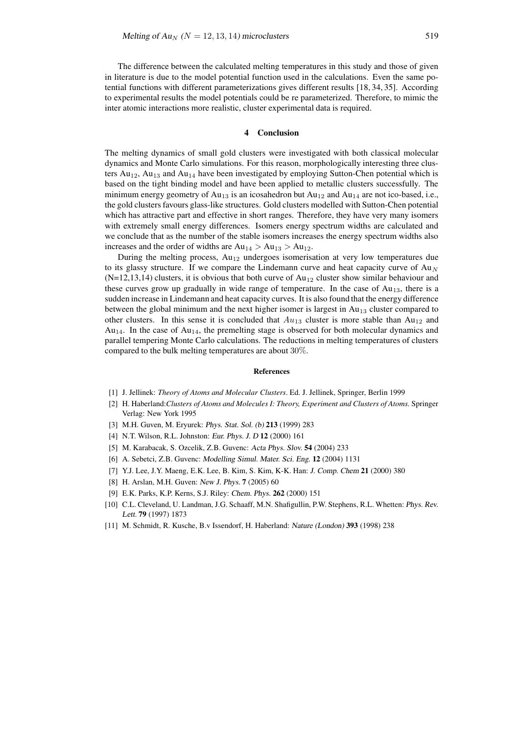The difference between the calculated melting temperatures in this study and those of given in literature is due to the model potential function used in the calculations. Even the same potential functions with different parameterizations gives different results [18, 34, 35]. According to experimental results the model potentials could be re parameterized. Therefore, to mimic the inter atomic interactions more realistic, cluster experimental data is required.

#### **4 Conclusion**

The melting dynamics of small gold clusters were investigated with both classical molecular dynamics and Monte Carlo simulations. For this reason, morphologically interesting three clusters  $Au_{12}$ ,  $Au_{13}$  and  $Au_{14}$  have been investigated by employing Sutton-Chen potential which is based on the tight binding model and have been applied to metallic clusters successfully. The minimum energy geometry of  $Au_{13}$  is an icosahedron but  $Au_{12}$  and  $Au_{14}$  are not ico-based, i.e., the gold clusters favours glass-like structures. Gold clusters modelled with Sutton-Chen potential which has attractive part and effective in short ranges. Therefore, they have very many isomers with extremely small energy differences. Isomers energy spectrum widths are calculated and we conclude that as the number of the stable isomers increases the energy spectrum widths also increases and the order of widths are  $Au_{14} > Au_{13} > Au_{12}$ .

During the melting process,  $Au_{12}$  undergoes isomerisation at very low temperatures due to its glassy structure. If we compare the Lindemann curve and heat capacity curve of  $Au_N$  $(N=12,13,14)$  clusters, it is obvious that both curve of Au<sub>12</sub> cluster show similar behaviour and these curves grow up gradually in wide range of temperature. In the case of  $Au_{13}$ , there is a sudden increase in Lindemann and heat capacity curves. It is also found that the energy difference between the global minimum and the next higher isomer is largest in  $Au_{13}$  cluster compared to other clusters. In this sense it is concluded that  $Au_{13}$  cluster is more stable than  $Au_{12}$  and  $Au_{14}$ . In the case of  $Au_{14}$ , the premelting stage is observed for both molecular dynamics and parallel tempering Monte Carlo calculations. The reductions in melting temperatures of clusters compared to the bulk melting temperatures are about 30%.

#### **References**

- [1] J. Jellinek: *Theory of Atoms and Molecular Clusters*. Ed. J. Jellinek, Springer, Berlin 1999
- [2] H. Haberland:*Clusters of Atoms and Molecules I: Theory, Experiment and Clusters of Atoms.* Springer Verlag: New York 1995
- [3] M.H. Guven, M. Eryurek: Phys. Stat. Sol. (b) **213** (1999) 283
- [4] N.T. Wilson, R.L. Johnston: Eur. Phys. J. <sup>D</sup> **12** (2000) 161
- [5] M. Karabacak, S. Ozcelik, Z.B. Guvenc: Acta Phys. Slov. **54** (2004) 233
- [6] A. Sebetci, Z.B. Guvenc: Modelling Simul. Mater. Sci. Eng. **12** (2004) 1131
- [7] Y.J. Lee, J.Y. Maeng, E.K. Lee, B. Kim, S. Kim, K-K. Han: J. Comp. Chem **21** (2000) 380
- [8] H. Arslan, M.H. Guven: New J. Phys. **7** (2005) 60
- [9] E.K. Parks, K.P. Kerns, S.J. Riley: Chem. Phys. **262** (2000) 151
- [10] C.L. Cleveland, U. Landman, J.G. Schaaff, M.N. Shafigullin, P.W. Stephens, R.L. Whetten: Phys. Rev. Lett. **79** (1997) 1873
- [11] M. Schmidt, R. Kusche, B.v Issendorf, H. Haberland: Nature (London) **393** (1998) 238